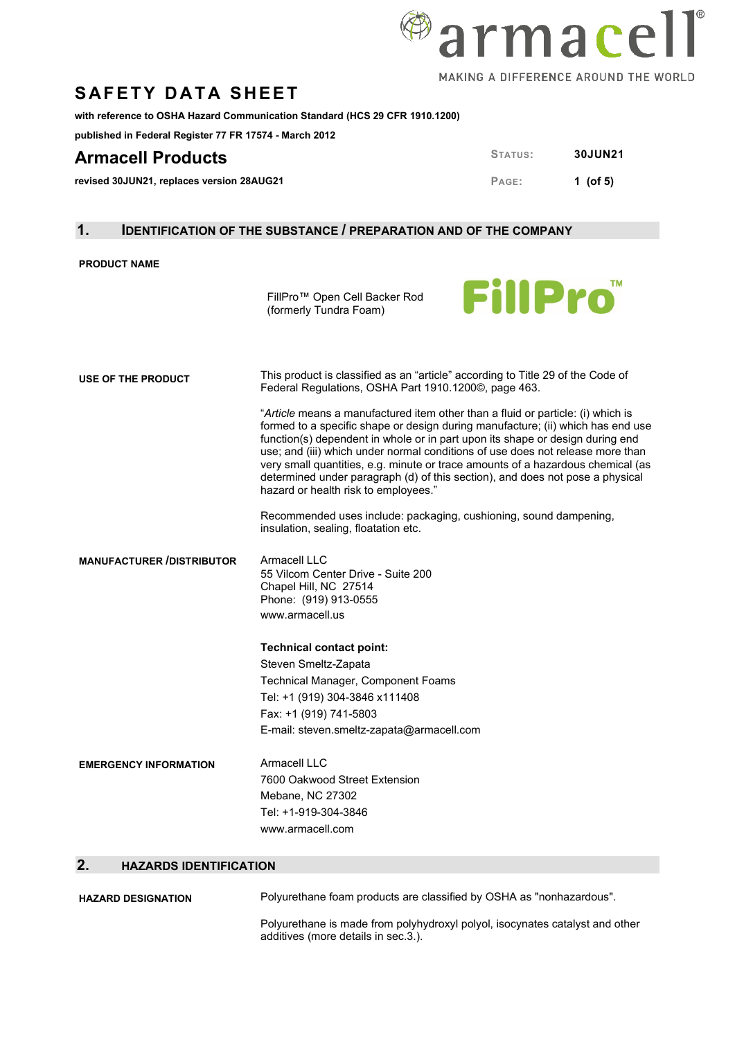

## **SAFETY DATA SHEET**

**with reference to OSHA Hazard Communication Standard (HCS 29 CFR 1910.1200)** 

**published in Federal Register 77 FR 17574 - March 2012**

### **Armacell Products STATUS: 30JUN21**

**revised 30JUN21, replaces version 28AUG21 PAGE: 1** (of 5)

#### **1. IDENTIFICATION OF THE SUBSTANCE / PREPARATION AND OF THE COMPANY**

#### **PRODUCT NAME**

FillPro™ Open Cell Backer Rod (formerly Tundra Foam)



| USE OF THE PRODUCT               | This product is classified as an "article" according to Title 29 of the Code of<br>Federal Regulations, OSHA Part 1910.1200©, page 463.                                                                                                                                                                                                                                                                                                                                                                                                           |
|----------------------------------|---------------------------------------------------------------------------------------------------------------------------------------------------------------------------------------------------------------------------------------------------------------------------------------------------------------------------------------------------------------------------------------------------------------------------------------------------------------------------------------------------------------------------------------------------|
|                                  | "Article means a manufactured item other than a fluid or particle: (i) which is<br>formed to a specific shape or design during manufacture; (ii) which has end use<br>function(s) dependent in whole or in part upon its shape or design during end<br>use; and (iii) which under normal conditions of use does not release more than<br>very small quantities, e.g. minute or trace amounts of a hazardous chemical (as<br>determined under paragraph (d) of this section), and does not pose a physical<br>hazard or health risk to employees." |
|                                  | Recommended uses include: packaging, cushioning, sound dampening,<br>insulation, sealing, floatation etc.                                                                                                                                                                                                                                                                                                                                                                                                                                         |
| <b>MANUFACTURER /DISTRIBUTOR</b> | Armacell LLC<br>55 Vilcom Center Drive - Suite 200<br>Chapel Hill, NC 27514<br>Phone: (919) 913-0555<br>www.armacell.us                                                                                                                                                                                                                                                                                                                                                                                                                           |
|                                  | <b>Technical contact point:</b>                                                                                                                                                                                                                                                                                                                                                                                                                                                                                                                   |
|                                  | Steven Smeltz-Zapata                                                                                                                                                                                                                                                                                                                                                                                                                                                                                                                              |
|                                  | Technical Manager, Component Foams                                                                                                                                                                                                                                                                                                                                                                                                                                                                                                                |
|                                  | Tel: +1 (919) 304-3846 x111408                                                                                                                                                                                                                                                                                                                                                                                                                                                                                                                    |
|                                  | Fax: +1 (919) 741-5803                                                                                                                                                                                                                                                                                                                                                                                                                                                                                                                            |
|                                  | E-mail: steven.smeltz-zapata@armacell.com                                                                                                                                                                                                                                                                                                                                                                                                                                                                                                         |
| <b>EMERGENCY INFORMATION</b>     | Armacell LLC                                                                                                                                                                                                                                                                                                                                                                                                                                                                                                                                      |
|                                  | 7600 Oakwood Street Extension                                                                                                                                                                                                                                                                                                                                                                                                                                                                                                                     |
|                                  | Mebane, NC 27302                                                                                                                                                                                                                                                                                                                                                                                                                                                                                                                                  |
|                                  | Tel: +1-919-304-3846                                                                                                                                                                                                                                                                                                                                                                                                                                                                                                                              |
|                                  | www.armacell.com                                                                                                                                                                                                                                                                                                                                                                                                                                                                                                                                  |
| LIAZADDO IDENTIFIO ATIONI        |                                                                                                                                                                                                                                                                                                                                                                                                                                                                                                                                                   |

#### **2. HAZARDS IDENTIFICATION**

| <b>HAZARD DESIGNATION</b> | Polyurethane foam products are classified by OSHA as "nonhazardous".                                                |
|---------------------------|---------------------------------------------------------------------------------------------------------------------|
|                           | Polyurethane is made from polyhydroxyl polyol, isocynates catalyst and other<br>additives (more details in sec.3.). |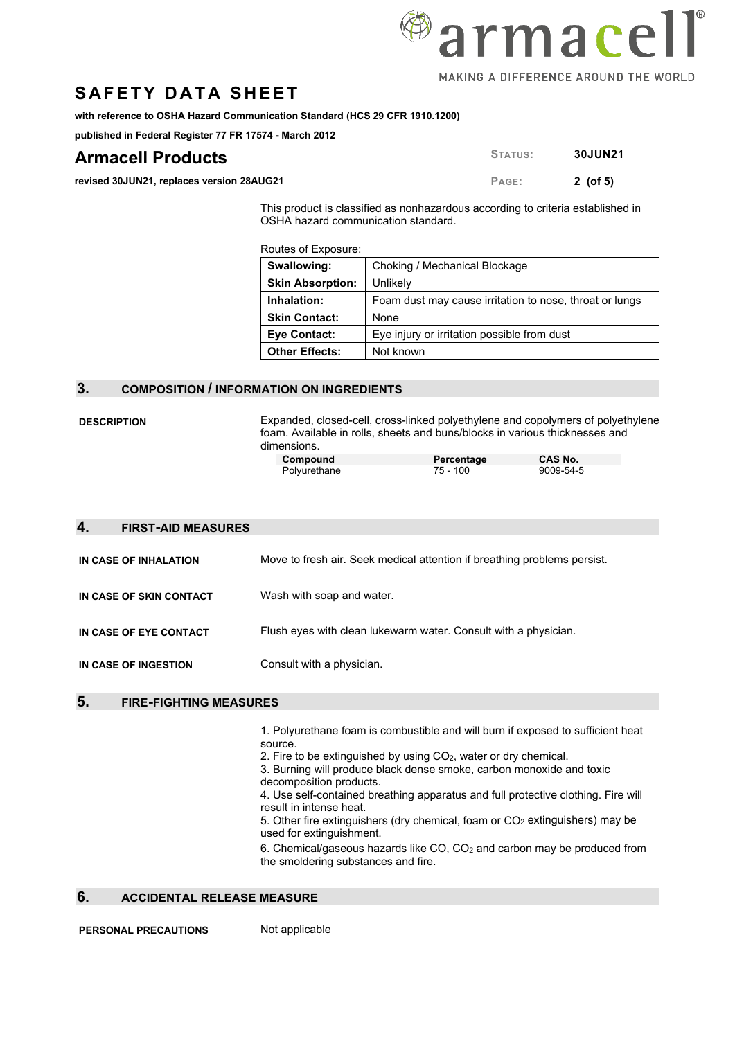## **SAFETY DATA SHEET**

**with reference to OSHA Hazard Communication Standard (HCS 29 CFR 1910.1200)** 

**published in Federal Register 77 FR 17574 - March 2012**

## **Armacell Products STATUS: 30JUN21**

**revised 30JUN21, replaces version 28AUG21 PAGE: 2** (of 5)

This product is classified as nonhazardous according to criteria established in OSHA hazard communication standard.

Routes of Exposure:

| Swallowing:             | Choking / Mechanical Blockage                           |
|-------------------------|---------------------------------------------------------|
| <b>Skin Absorption:</b> | Unlikely                                                |
| Inhalation:             | Foam dust may cause irritation to nose, throat or lungs |
| <b>Skin Contact:</b>    | <b>None</b>                                             |
| Eye Contact:            | Eye injury or irritation possible from dust             |
| <b>Other Effects:</b>   | Not known                                               |

#### **3. COMPOSITION / INFORMATION ON INGREDIENTS**

**DESCRIPTION** Expanded, closed-cell, cross-linked polyethylene and copolymers of polyethylene foam. Available in rolls, sheets and buns/blocks in various thicknesses and dimensions.

| Compound     | Percentage | CAS No.   |
|--------------|------------|-----------|
| Polyurethane | 75 - 100   | 9009-54-5 |

| 4. | <b>FIRST-AID MEASURES</b> |                                                                          |
|----|---------------------------|--------------------------------------------------------------------------|
|    | IN CASE OF INHALATION     | Move to fresh air. Seek medical attention if breathing problems persist. |
|    | IN CASE OF SKIN CONTACT   | Wash with soap and water.                                                |
|    | IN CASE OF EYE CONTACT    | Flush eyes with clean lukewarm water. Consult with a physician.          |
|    | IN CASE OF INGESTION      | Consult with a physician.                                                |
|    |                           |                                                                          |

#### **5. FIRE-FIGHTING MEASURES**

1. Polyurethane foam is combustible and will burn if exposed to sufficient heat source.

2. Fire to be extinguished by using CO2, water or dry chemical.

3. Burning will produce black dense smoke, carbon monoxide and toxic decomposition products.

4. Use self-contained breathing apparatus and full protective clothing. Fire will result in intense heat.

5. Other fire extinguishers (dry chemical, foam or  $CO<sub>2</sub>$  extinguishers) may be used for extinguishment.

6. Chemical/gaseous hazards like CO, CO2 and carbon may be produced from the smoldering substances and fire.

#### **6. ACCIDENTAL RELEASE MEASURE**

**PERSONAL PRECAUTIONS** Not applicable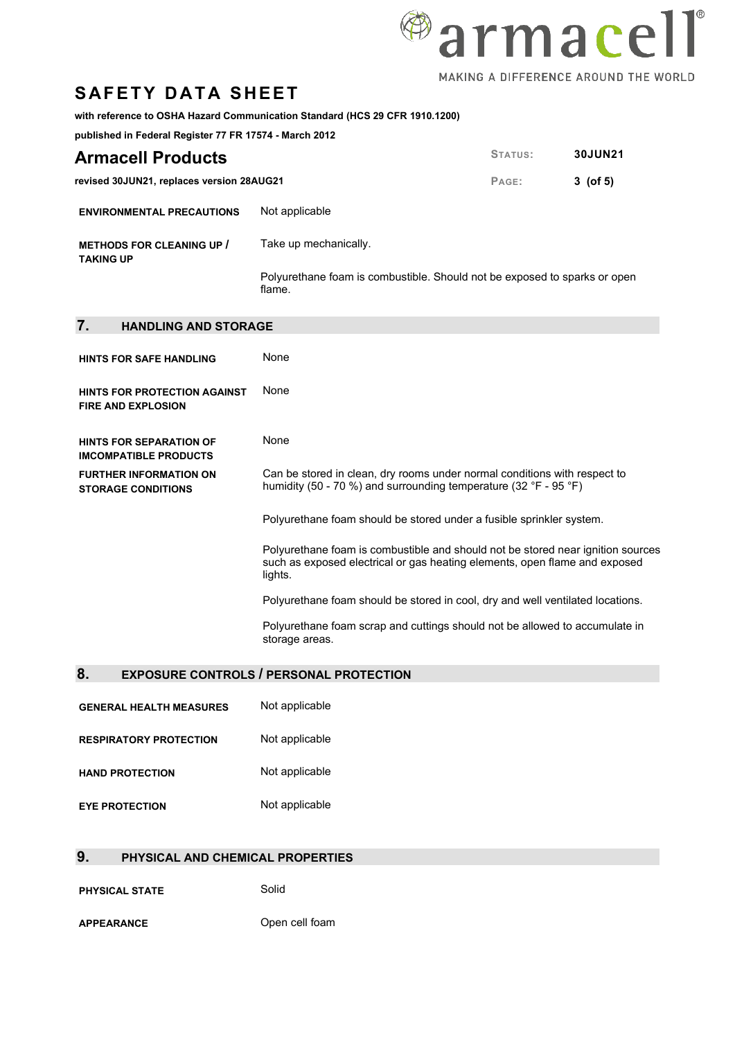# <sup>@</sup>armacell MAKING A DIFFERENCE AROUND THE WORLD

## **SAFETY DATA SHEET**

#### **with reference to OSHA Hazard Communication Standard (HCS 29 CFR 1910.1200)**

**published in Federal Register 77 FR 17574 - March 2012**

| <b>Armacell Products</b>                  |                | STATUS: | <b>30JUN21</b> |
|-------------------------------------------|----------------|---------|----------------|
| revised 30JUN21, replaces version 28AUG21 |                | PAGE:   | 3 (of 5)       |
| <b>ENVIRONMENTAL PRECAUTIONS</b>          | Not applicable |         |                |

| <b>METHODS FOR CLEANING UP /</b><br><b>TAKING UP</b> | Take up mechanically.                                                               |
|------------------------------------------------------|-------------------------------------------------------------------------------------|
|                                                      | Polyurethane foam is combustible. Should not be exposed to sparks or open<br>flame. |

| 7.<br><b>HANDLING AND STORAGE</b>                                |                                                                                                                                                                          |
|------------------------------------------------------------------|--------------------------------------------------------------------------------------------------------------------------------------------------------------------------|
| <b>HINTS FOR SAFE HANDLING</b>                                   | None                                                                                                                                                                     |
| <b>HINTS FOR PROTECTION AGAINST</b><br><b>FIRE AND EXPLOSION</b> | None                                                                                                                                                                     |
| <b>HINTS FOR SEPARATION OF</b><br><b>IMCOMPATIBLE PRODUCTS</b>   | None                                                                                                                                                                     |
| <b>FURTHER INFORMATION ON</b><br><b>STORAGE CONDITIONS</b>       | Can be stored in clean, dry rooms under normal conditions with respect to<br>humidity (50 - 70 %) and surrounding temperature (32 °F - 95 °F)                            |
|                                                                  | Polyurethane foam should be stored under a fusible sprinkler system.                                                                                                     |
|                                                                  | Polyurethane foam is combustible and should not be stored near ignition sources<br>such as exposed electrical or gas heating elements, open flame and exposed<br>lights. |
|                                                                  | Polyurethane foam should be stored in cool, dry and well ventilated locations.                                                                                           |
|                                                                  | Polyurethane foam scrap and cuttings should not be allowed to accumulate in<br>storage areas.                                                                            |

### **8. EXPOSURE CONTROLS / PERSONAL PROTECTION**

| <b>GENERAL HEALTH MEASURES</b> | Not applicable |
|--------------------------------|----------------|
| <b>RESPIRATORY PROTECTION</b>  | Not applicable |
| <b>HAND PROTECTION</b>         | Not applicable |
| <b>EYE PROTECTION</b>          | Not applicable |

### **9. PHYSICAL AND CHEMICAL PROPERTIES**

**PHYSICAL STATE** Solid

**APPEARANCE** Open cell foam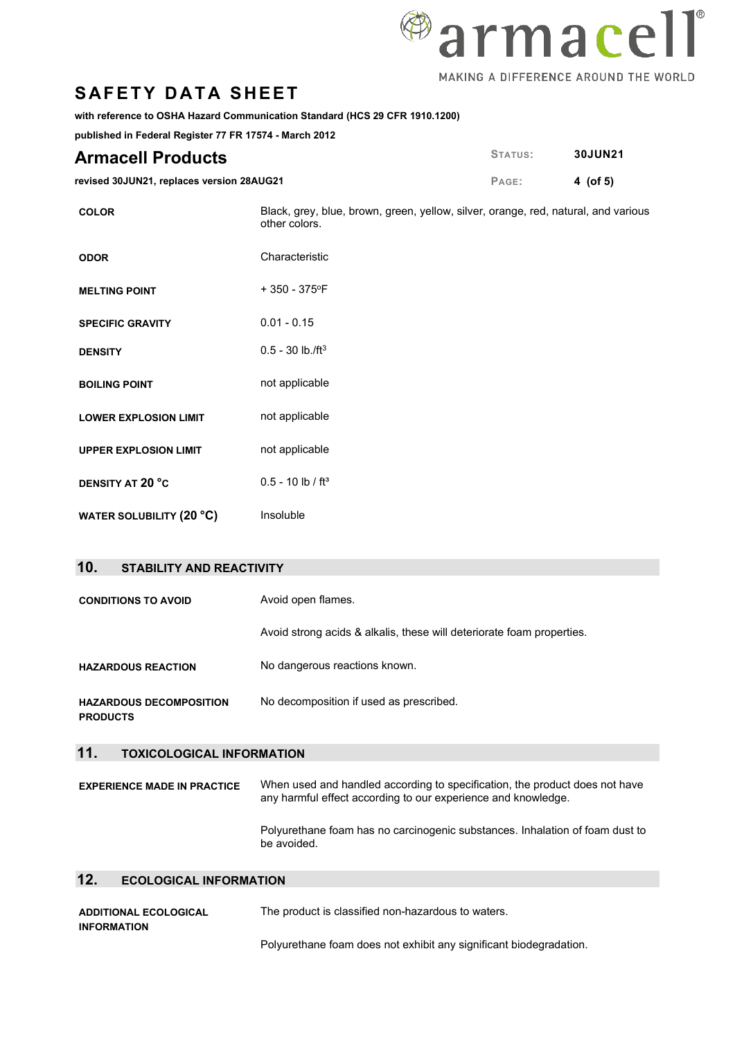

## **SAFETY DATA SHEET**

**with reference to OSHA Hazard Communication Standard (HCS 29 CFR 1910.1200)** 

**published in Federal Register 77 FR 17574 - March 2012**

| <b>Armacell Products</b>                  | STATUS: | <b>30JUN21</b> |
|-------------------------------------------|---------|----------------|
| revised 30JUN21, replaces version 28AUG21 | PAGE:   | 4 (of 5)       |

**COLOR** Black, grey, blue, brown, green, yellow, silver, orange, red, natural, and various other colors. **ODOR** Characteristic **MELTING POINT** + 350 - 375°F **SPECIFIC GRAVITY** 0.01 - 0.15

| <b>DENSITY</b>               | $0.5 - 30$ lb./ft <sup>3</sup>     |
|------------------------------|------------------------------------|
| <b>BOILING POINT</b>         | not applicable                     |
| LOWER EXPLOSION LIMIT        | not applicable                     |
| <b>UPPER EXPLOSION LIMIT</b> | not applicable                     |
| <b>DENSITY AT 20 °C</b>      | $0.5 - 10 \,$ lb / ft <sup>3</sup> |
| WATER SOLUBILITY (20 °C)     | Insoluble                          |

#### **10. STABILITY AND REACTIVITY**

| <b>CONDITIONS TO AVOID</b>                        | Avoid open flames.                                                                                                                           |  |
|---------------------------------------------------|----------------------------------------------------------------------------------------------------------------------------------------------|--|
|                                                   | Avoid strong acids & alkalis, these will deteriorate foam properties.                                                                        |  |
| <b>HAZARDOUS REACTION</b>                         | No dangerous reactions known.                                                                                                                |  |
| <b>HAZARDOUS DECOMPOSITION</b><br><b>PRODUCTS</b> | No decomposition if used as prescribed.                                                                                                      |  |
| 11.<br><b>TOXICOLOGICAL INFORMATION</b>           |                                                                                                                                              |  |
| <b>EXPERIENCE MADE IN PRACTICE</b>                | When used and handled according to specification, the product does not have<br>any harmful effect according to our experience and knowledge. |  |
|                                                   | Polyurethane foam has no carcinogenic substances. Inhalation of foam dust to                                                                 |  |

#### **12. ECOLOGICAL INFORMATION**

| <b>ADDITIONAL ECOLOGICAL</b><br><b>INFORMATION</b> | The product is classified non-hazardous to waters.                 |
|----------------------------------------------------|--------------------------------------------------------------------|
|                                                    | Polyurethane foam does not exhibit any significant biodegradation. |

be avoided.